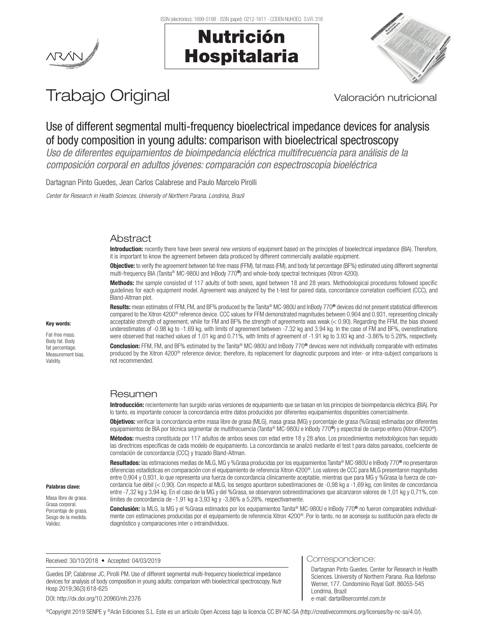

# Nutrición Hospitalaria



# Trabajo Original Valoración nutricional

# Use of different segmental multi-frequency bioelectrical impedance devices for analysis of body composition in young adults: comparison with bioelectrical spectroscopy

*Uso de diferentes equipamientos de bioimpedancia eléctrica multifrecuencia para análisis de la composición corporal en adultos jóvenes: comparación con espectroscopia bioeléctrica*

Dartagnan Pinto Guedes, Jean Carlos Calabrese and Paulo Marcelo Pirolli

*Center for Research in Health Sciences. University of Northern Parana. Londrina, Brazil*

# Abstract

Introduction: recently there have been several new versions of equipment based on the principles of bioelectrical impedance (BIA). Therefore, it is important to know the agreement between data produced by different commercially available equipment.

Objective: to verify the agreement between fat-free mass (FFM), fat mass (FM), and body fat percentage (BF%) estimated using different segmental multi-frequency BIA (Tanita® MC-980U and InBody 770®) and whole-body spectral techniques (Xitron 4200).

Methods: the sample consisted of 117 adults of both sexes, aged between 18 and 28 years. Methodological procedures followed specific guidelines for each equipment model. Agreement was analyzed by the t-test for paired data, concordance correlation coefficient (CCC), and Bland-Altman plot.

Results: mean estimates of FFM, FM, and BF% produced by the Tanita® MC-980U and InBody 770® devices did not present statistical differences compared to the Xitron 4200® reference device. CCC values for FFM demonstrated magnitudes between 0.904 and 0.931, representing clinically acceptable strength of agreement, while for FM and BF% the strength of agreements was weak (< 0.90). Regarding the FFM, the bias showed underestimates of -0.98 kg to -1.69 kg, with limits of agreement between -7.32 kg and 3.94 kg. In the case of FM and BF%, overestimations were observed that reached values of 1.01 kg and 0.71%, with limits of agreement of -1.91 kg to 3.93 kg and -3.86% to 5.28%, respectively.

Conclusion: FFM, FM, and BF% estimated by the Tanita® MC-980U and InBody 770<sup>®</sup> devices were not individually comparable with estimates produced by the Xitron 4200® reference device; therefore, its replacement for diagnostic purposes and inter- or intra-subject comparisons is not recommended.

# Resumen

Introducción: recientemente han surgido varias versiones de equipamiento que se basan en los principios de bioimpedancia eléctrica (BIA). Por lo tanto, es importante conocer la concordancia entre datos producidos por diferentes equipamientos disponibles comercialmente.

Objetivos: verificar la concordancia entre masa libre de grasa (MLG), masa grasa (MG) y porcentaje de grasa (%Grasa) estimadas por diferentes equipamientos de BIA por técnica segmentar de multifrecuencia (Tanita® MC-980U e InBody 770®) y espectral de cuerpo entero (Xitron 4200®).

Métodos: muestra constituida por 117 adultos de ambos sexos con edad entre 18 y 28 años. Los procedimientos metodológicos han seguido las directrices específicas de cada modelo de equipamiento. La concordancia se analizó mediante el test t para datos pareados, coeficiente de correlación de concordancia (CCC) y trazado Bland-Altman.

Resultados: las estimaciones medias de MLG, MG y %Grasa producidas por los equipamientos Tanita® MC-980U e InBody 770® no presentaron diferencias estadísticas en comparación con el equipamiento de referencia Xitron 4200®. Los valores de CCC para MLG presentaron magnitudes entre 0,904 y 0,931, lo que representa una fuerza de concordancia clínicamente aceptable, mientras que para MG y %Grasa la fuerza de concordancia fue débil (< 0,90). Con respecto al MLG, los sesgos apuntaron subestimaciones de -0,98 kg a -1,69 kg, con límites de concordancia entre -7,32 kg y 3,94 kg. En el caso de la MG y del %Grasa, se observaron sobreestimaciones que alcanzaron valores de 1,01 kg y 0,71%, con límites de concordancia de -1,91 kg a 3,93 kg y -3,86% a 5,28%, respectivamente.

Conclusión: la MLG, la MG y el %Grasa estimados por los equipamientos Tanita® MC-980U e InBody 770® no fueron comparables individualmente con estimaciones producidas por el equipamiento de referencia Xitron 4200®. Por lo tanto, no se aconseja su sustitución para efecto de diagnóstico y comparaciones inter o intraindividuos.

Received: 30/10/2018 • Accepted: 04/03/2019

Guedes DP, Calabrese JC, Pirolli PM. Use of different segmental multi-frequency bioelectrical impedance devices for analysis of body composition in young adults: comparison with bioelectrical spectroscopy. Nutr Hosp 2019;36(3):618-625

DOI: http://dx.doi.org/10.20960/nh.2376

Correspondence:

Dartagnan Pinto Guedes. Center for Research in Health Sciences. University of Northern Parana. Rua Ildefonso Werner, 177. Condomínio Royal Golf. 86055-545 Londrina, Brazil e-mail: darta@sercomtel.com.br

©Copyright 2019 SENPE y ©Arán Ediciones S.L. Este es un artículo Open Access bajo la licencia CC BY-NC-SA (http://creativecommons.org/licenses/by-nc-sa/4.0/).

#### Key words:

Fat-free mass. Body fat. Body fat percentage Measurement bias. Validity.

Palabras clave: Masa libre de grasa. Grasa corporal. Porcentaje de grasa. Sesgo de la medida. Validez.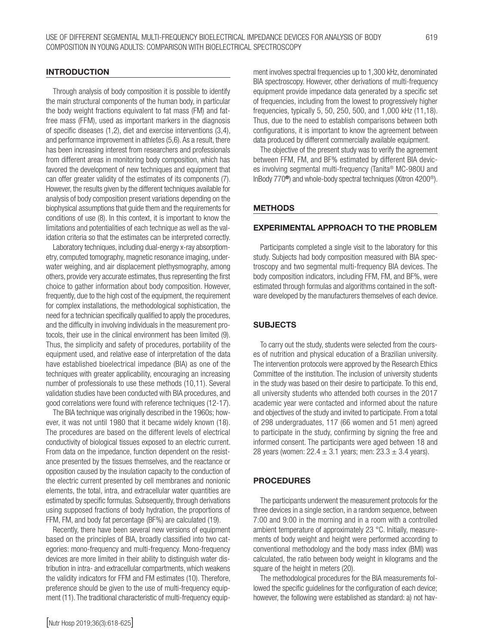#### **INTRODUCTION**

Through analysis of body composition it is possible to identify the main structural components of the human body, in particular the body weight fractions equivalent to fat mass (FM) and fatfree mass (FFM), used as important markers in the diagnosis of specific diseases (1,2), diet and exercise interventions (3,4), and performance improvement in athletes (5,6). As a result, there has been increasing interest from researchers and professionals from different areas in monitoring body composition, which has favored the development of new techniques and equipment that can offer greater validity of the estimates of its components (7). However, the results given by the different techniques available for analysis of body composition present variations depending on the biophysical assumptions that guide them and the requirements for conditions of use (8). In this context, it is important to know the limitations and potentialities of each technique as well as the validation criteria so that the estimates can be interpreted correctly.

Laboratory techniques, including dual-energy x-ray absorptiometry, computed tomography, magnetic resonance imaging, underwater weighing, and air displacement plethysmography, among others, provide very accurate estimates, thus representing the first choice to gather information about body composition. However, frequently, due to the high cost of the equipment, the requirement for complex installations, the methodological sophistication, the need for a technician specifically qualified to apply the procedures, and the difficulty in involving individuals in the measurement protocols, their use in the clinical environment has been limited (9). Thus, the simplicity and safety of procedures, portability of the equipment used, and relative ease of interpretation of the data have established bioelectrical impedance (BIA) as one of the techniques with greater applicability, encouraging an increasing number of professionals to use these methods (10,11). Several validation studies have been conducted with BIA procedures, and good correlations were found with reference techniques (12-17).

The BIA technique was originally described in the 1960s; however, it was not until 1980 that it became widely known (18). The procedures are based on the different levels of electrical conductivity of biological tissues exposed to an electric current. From data on the impedance, function dependent on the resistance presented by the tissues themselves, and the reactance or opposition caused by the insulation capacity to the conduction of the electric current presented by cell membranes and nonionic elements, the total, intra, and extracellular water quantities are estimated by specific formulas. Subsequently, through derivations using supposed fractions of body hydration, the proportions of FFM, FM, and body fat percentage (BF%) are calculated (19).

Recently, there have been several new versions of equipment based on the principles of BIA, broadly classified into two categories: mono-frequency and multi-frequency. Mono-frequency devices are more limited in their ability to distinguish water distribution in intra- and extracellular compartments, which weakens the validity indicators for FFM and FM estimates (10). Therefore, preference should be given to the use of multi-frequency equipment (11). The traditional characteristic of multi-frequency equipment involves spectral frequencies up to 1,300 kHz, denominated BIA spectroscopy. However, other derivations of multi-frequency equipment provide impedance data generated by a specific set of frequencies, including from the lowest to progressively higher frequencies, typically 5, 50, 250, 500, and 1,000 kHz (11,18). Thus, due to the need to establish comparisons between both configurations, it is important to know the agreement between data produced by different commercially available equipment.

The objective of the present study was to verify the agreement between FFM, FM, and BF% estimated by different BIA devices involving segmental multi-frequency (Tanita® MC-980U and InBody 770®) and whole-body spectral techniques (Xitron 4200®).

#### METHODS

# EXPERIMENTAL APPROACH TO THE PROBLEM

Participants completed a single visit to the laboratory for this study. Subjects had body composition measured with BIA spectroscopy and two segmental multi-frequency BIA devices. The body composition indicators, including FFM, FM, and BF%, were estimated through formulas and algorithms contained in the software developed by the manufacturers themselves of each device.

# **SUBJECTS**

To carry out the study, students were selected from the courses of nutrition and physical education of a Brazilian university. The intervention protocols were approved by the Research Ethics Committee of the institution. The inclusion of university students in the study was based on their desire to participate. To this end, all university students who attended both courses in the 2017 academic year were contacted and informed about the nature and objectives of the study and invited to participate. From a total of 298 undergraduates, 117 (66 women and 51 men) agreed to participate in the study, confirming by signing the free and informed consent. The participants were aged between 18 and 28 years (women:  $22.4 \pm 3.1$  years; men:  $23.3 \pm 3.4$  years).

#### PROCEDURES

The participants underwent the measurement protocols for the three devices in a single section, in a random sequence, between 7:00 and 9:00 in the morning and in a room with a controlled ambient temperature of approximately 23 °C. Initially, measurements of body weight and height were performed according to conventional methodology and the body mass index (BMI) was calculated, the ratio between body weight in kilograms and the square of the height in meters (20).

The methodological procedures for the BIA measurements followed the specific guidelines for the configuration of each device; however, the following were established as standard: a) not hav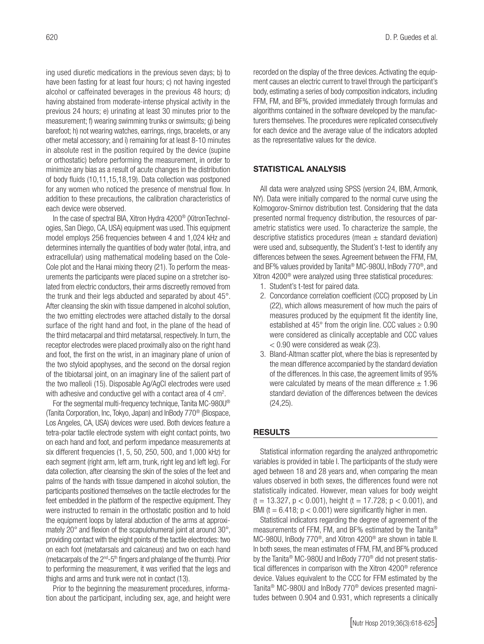ing used diuretic medications in the previous seven days; b) to have been fasting for at least four hours; c) not having ingested alcohol or caffeinated beverages in the previous 48 hours; d) having abstained from moderate-intense physical activity in the previous 24 hours; e) urinating at least 30 minutes prior to the measurement; f) wearing swimming trunks or swimsuits; g) being barefoot; h) not wearing watches, earrings, rings, bracelets, or any other metal accessory; and i) remaining for at least 8-10 minutes in absolute rest in the position required by the device (supine or orthostatic) before performing the measurement, in order to minimize any bias as a result of acute changes in the distribution of body fluids (10,11,15,18,19). Data collection was postponed for any women who noticed the presence of menstrual flow. In addition to these precautions, the calibration characteristics of each device were observed.

In the case of spectral BIA, Xitron Hydra 4200® (XitronTechnologies, San Diego, CA, USA) equipment was used. This equipment model employs 256 frequencies between 4 and 1,024 kHz and determines internally the quantities of body water (total, intra, and extracellular) using mathematical modeling based on the Cole-Cole plot and the Hanai mixing theory (21). To perform the measurements the participants were placed supine on a stretcher isolated from electric conductors, their arms discreetly removed from the trunk and their legs abducted and separated by about 45°. After cleansing the skin with tissue dampened in alcohol solution, the two emitting electrodes were attached distally to the dorsal surface of the right hand and foot, in the plane of the head of the third metacarpal and third metatarsal, respectively. In turn, the receptor electrodes were placed proximally also on the right hand and foot, the first on the wrist, in an imaginary plane of union of the two styloid apophyses, and the second on the dorsal region of the tibiotarsal joint, on an imaginary line of the salient part of the two malleoli (15). Disposable Ag/AgCI electrodes were used with adhesive and conductive gel with a contact area of 4 cm<sup>2</sup>.

For the segmental multi-frequency technique, Tanita MC-980U® (Tanita Corporation, Inc, Tokyo, Japan) and InBody 770® (Biospace, Los Angeles, CA, USA) devices were used. Both devices feature a tetra-polar tactile electrode system with eight contact points, two on each hand and foot, and perform impedance measurements at six different frequencies (1, 5, 50, 250, 500, and 1,000 kHz) for each segment (right arm, left arm, trunk, right leg and left leg). For data collection, after cleansing the skin of the soles of the feet and palms of the hands with tissue dampened in alcohol solution, the participants positioned themselves on the tactile electrodes for the feet embedded in the platform of the respective equipment. They were instructed to remain in the orthostatic position and to hold the equipment loops by lateral abduction of the arms at approximately 20° and flexion of the scapulohumeral joint at around 30°, providing contact with the eight points of the tactile electrodes: two on each foot (metatarsals and calcaneus) and two on each hand (metacarpals of the  $2<sup>nd</sup> - 5<sup>th</sup>$  fingers and phalange of the thumb). Prior to performing the measurement, it was verified that the legs and thighs and arms and trunk were not in contact (13).

Prior to the beginning the measurement procedures, information about the participant, including sex, age, and height were recorded on the display of the three devices. Activating the equipment causes an electric current to travel through the participant's body, estimating a series of body composition indicators, including FFM, FM, and BF%, provided immediately through formulas and algorithms contained in the software developed by the manufacturers themselves. The procedures were replicated consecutively for each device and the average value of the indicators adopted as the representative values for the device.

# STATISTICAL ANALYSIS

All data were analyzed using SPSS (version 24, IBM, Armonk, NY). Data were initially compared to the normal curve using the Kolmogorov-Smirnov distribution test. Considering that the data presented normal frequency distribution, the resources of parametric statistics were used. To characterize the sample, the descriptive statistics procedures (mean  $\pm$  standard deviation) were used and, subsequently, the Student's t-test to identify any differences between the sexes. Agreement between the FFM, FM, and BF% values provided by Tanita® MC-980U, InBody 770®, and Xitron 4200® were analyzed using three statistical procedures:

- 1. Student's t-test for paired data.
- 2. Concordance correlation coefficient (CCC) proposed by Lin (22), which allows measurement of how much the pairs of measures produced by the equipment fit the identity line, established at 45 $^{\circ}$  from the origin line. CCC values  $\geq 0.90$ were considered as clinically acceptable and CCC values < 0.90 were considered as weak (23).
- 3. Bland-Altman scatter plot, where the bias is represented by the mean difference accompanied by the standard deviation of the differences. In this case, the agreement limits of 95% were calculated by means of the mean difference  $\pm$  1.96 standard deviation of the differences between the devices (24,25).

# RESULTS

Statistical information regarding the analyzed anthropometric variables is provided in table I. The participants of the study were aged between 18 and 28 years and, when comparing the mean values observed in both sexes, the differences found were not statistically indicated. However, mean values for body weight  $(t = 13.327, p < 0.001)$ , height  $(t = 17.728; p < 0.001)$ , and BMI ( $t = 6.418$ ;  $p < 0.001$ ) were significantly higher in men.

Statistical indicators regarding the degree of agreement of the measurements of FFM, FM, and BF% estimated by the Tanita® MC-980U, InBody 770®, and Xitron 4200® are shown in table II. In both sexes, the mean estimates of FFM, FM, and BF% produced by the Tanita® MC-980U and InBody 770® did not present statistical differences in comparison with the Xitron 4200® reference device. Values equivalent to the CCC for FFM estimated by the Tanita® MC-980U and InBody 770® devices presented magnitudes between 0.904 and 0.931, which represents a clinically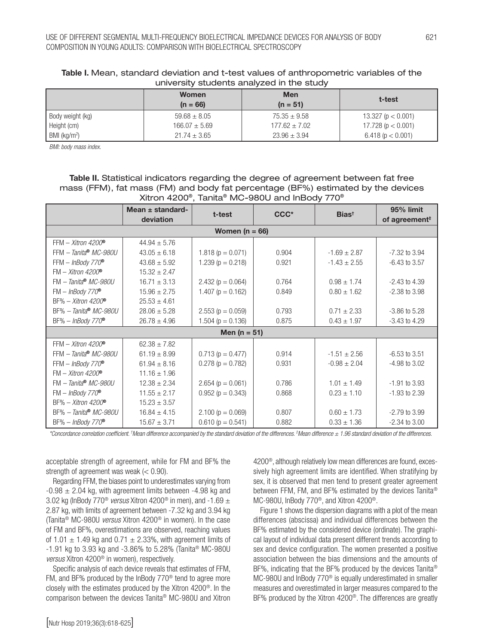|                  | <b>Women</b>      | <b>Men</b>        | t-test                 |  |  |
|------------------|-------------------|-------------------|------------------------|--|--|
|                  | $(n = 66)$        | $(n = 51)$        |                        |  |  |
| Body weight (kg) | $59.68 \pm 8.05$  | $75.35 \pm 9.58$  | 13.327 ( $p < 0.001$ ) |  |  |
| Height (cm)      | $166.07 \pm 5.69$ | $177.62 \pm 7.02$ | 17.728 ( $p < 0.001$ ) |  |  |
| BMI ( $kg/m2$ )  | $21.74 \pm 3.65$  | $23.96 \pm 3.94$  | 6.418(p < 0.001)       |  |  |

# Table I. Mean, standard deviation and t-test values of anthropometric variables of the university students analyzed in the study

*BMI: body mass index.*

# Table II. Statistical indicators regarding the degree of agreement between fat free mass (FFM), fat mass (FM) and body fat percentage (BF%) estimated by the devices Xitron 4200®, Tanita® MC-980U and InBody 770®

|                                        | Mean $\pm$ standard-<br>deviation | t-test                  | CCC <sup>*</sup> | $Bias^{\dagger}$ | 95% limit<br>of agreement <sup>#</sup> |  |  |
|----------------------------------------|-----------------------------------|-------------------------|------------------|------------------|----------------------------------------|--|--|
|                                        |                                   |                         |                  |                  |                                        |  |  |
| Women ( $n = 66$ )                     |                                   |                         |                  |                  |                                        |  |  |
| FFM - Xitron 4200 <sup>®</sup>         | $44.94 \pm 5.76$                  |                         |                  |                  |                                        |  |  |
| $FFM - Tanita^{\circledast} MC - 980U$ | $43.05 \pm 6.18$                  | 1.818 ( $p = 0.071$ )   | 0.904            | $-1.69 \pm 2.87$ | $-7.32$ to $3.94$                      |  |  |
| $FFM - InBody 770^{\circ}$             | $43.68 \pm 5.92$                  | 1.239 ( $p = 0.218$ )   | 0.921            | $-1.43 \pm 2.55$ | $-6.43$ to 3.57                        |  |  |
| $FM - Xitron 4200^{\circ}$             | $15.32 \pm 2.47$                  |                         |                  |                  |                                        |  |  |
| $FM - Tanita^{\circledast} MC-980U$    | $16.71 \pm 3.13$                  | 2.432 ( $p = 0.064$ )   | 0.764            | $0.98 \pm 1.74$  | $-2.43$ to $4.39$                      |  |  |
| $FM - InBody 770^{\circ}$              | $15.96 \pm 2.75$                  | 1.407 ( $p = 0.162$ )   | 0.849            | $0.80 \pm 1.62$  | $-2.38$ to $3.98$                      |  |  |
| $BF% - Xitron 4200^{\circ}$            | $25.53 \pm 4.61$                  |                         |                  |                  |                                        |  |  |
| $BF% - Tanita® MC-980U$                | $28.06 \pm 5.28$                  | $2.553$ ( $p = 0.059$ ) | 0.793            | $0.71 \pm 2.33$  | $-3.86$ to 5.28                        |  |  |
| $BF% - InBody 770®$                    | $26.78 \pm 4.96$                  | 1.504 ( $p = 0.136$ )   | 0.875            | $0.43 \pm 1.97$  | $-3.43$ to $4.29$                      |  |  |
| Men ( $n = 51$ )                       |                                   |                         |                  |                  |                                        |  |  |
| $FFM - Xitron 4200^{\circ}$            | $62.38 \pm 7.82$                  |                         |                  |                  |                                        |  |  |
| $FFM - Tanita^{\circledast} MC-980U$   | $61.19 \pm 8.99$                  | $0.713$ ( $p = 0.477$ ) | 0.914            | $-1.51 \pm 2.56$ | $-6.53$ to 3.51                        |  |  |
| $FFM - InBody 770^{\circ}$             | $61.94 \pm 8.16$                  | $0.278$ ( $p = 0.782$ ) | 0.931            | $-0.98 \pm 2.04$ | $-4.98$ to $3.02$                      |  |  |
| $FM - Xitron 4200^{\circ}$             | $11.16 \pm 1.96$                  |                         |                  |                  |                                        |  |  |
| $FM - Tanita^{\circledast} MC-980U$    | $12.38 \pm 2.34$                  | $2.654$ ( $p = 0.061$ ) | 0.786            | $1.01 \pm 1.49$  | $-1.91$ to 3.93                        |  |  |
| $FM - InBody 770^{\circ}$              | $11.55 \pm 2.17$                  | $0.952$ ( $p = 0.343$ ) | 0.868            | $0.23 \pm 1.10$  | $-1.93$ to 2.39                        |  |  |
| $BF% - Xitron 4200^{\circ}$            | $15.23 \pm 3.57$                  |                         |                  |                  |                                        |  |  |
| $BF% - Tanita^{\circledast}$ MC-980U   | $16.84 \pm 4.15$                  | $2.100 (p = 0.069)$     | 0.807            | $0.60 \pm 1.73$  | $-2.79$ to 3.99                        |  |  |
| $BF% - InBody 770^{\circ}$             | $15.67 \pm 3.71$                  | $0.610(p = 0.541)$      | 0.882            | $0.33 \pm 1.36$  | $-2.34$ to $3.00$                      |  |  |

*\*Concordance correlation coefficient. † Mean difference accompanied by the standard deviation of the differences. ‡ Mean difference ± 1.96 standard deviation of the differences.*

acceptable strength of agreement, while for FM and BF% the strength of agreement was weak  $(< 0.90$ ).

Regarding FFM, the biases point to underestimates varying from  $-0.98 \pm 2.04$  kg, with agreement limits between  $-4.98$  kg and 3.02 kg (InBody 770® *versus* Xitron 4200® in men), and -1.69 ± 2.87 kg, with limits of agreement between -7.32 kg and 3.94 kg (Tanita® MC-980U *versus* Xitron 4200® in women). In the case of FM and BF%, overestimations are observed, reaching values of 1.01  $\pm$  1.49 kg and 0.71  $\pm$  2.33%, with agreement limits of  $-1.91$  kg to 3.93 kg and  $-3.86\%$  to 5.28% (Tanita® MC-980U *versus* Xitron 4200® in women), respectively.

Specific analysis of each device reveals that estimates of FFM, FM, and BF% produced by the InBody 770® tend to agree more closely with the estimates produced by the Xitron 4200®. In the comparison between the devices Tanita® MC-980U and Xitron

4200®, although relatively low mean differences are found, excessively high agreement limits are identified. When stratifying by sex, it is observed that men tend to present greater agreement between FFM, FM, and BF% estimated by the devices Tanita® MC-980U, InBody 770®, and Xitron 4200®.

Figure 1 shows the dispersion diagrams with a plot of the mean differences (abscissa) and individual differences between the BF% estimated by the considered device (ordinate). The graphical layout of individual data present different trends according to sex and device configuration. The women presented a positive association between the bias dimensions and the amounts of BF%, indicating that the BF% produced by the devices Tanita® MC-980U and InBody 770® is equally underestimated in smaller measures and overestimated in larger measures compared to the BF% produced by the Xitron 4200®. The differences are greatly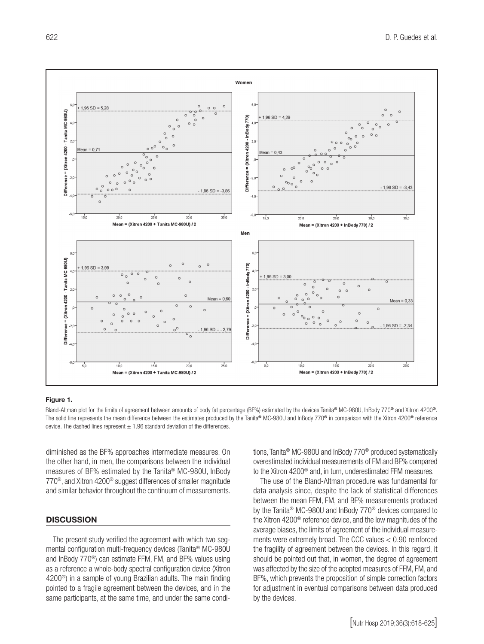

#### Figure 1.

Bland-Altman plot for the limits of agreement between amounts of body fat percentage (BF%) estimated by the devices Tanita® MC-980U, InBody 770® and Xitron 4200®. The solid line represents the mean difference between the estimates produced by the Tanita® MC-980U and InBody 770® in comparison with the Xitron 4200® reference device. The dashed lines represent  $\pm$  1.96 standard deviation of the differences.

diminished as the BF% approaches intermediate measures. On the other hand, in men, the comparisons between the individual measures of BF% estimated by the Tanita® MC-980U, InBody 770®, and Xitron 4200® suggest differences of smaller magnitude and similar behavior throughout the continuum of measurements.

# **DISCUSSION**

The present study verified the agreement with which two segmental configuration multi-frequency devices (Tanita® MC-980U and InBody 770®) can estimate FFM, FM, and BF% values using as a reference a whole-body spectral configuration device (Xitron 4200®) in a sample of young Brazilian adults. The main finding pointed to a fragile agreement between the devices, and in the same participants, at the same time, and under the same conditions, Tanita® MC-980U and InBody 770® produced systematically overestimated individual measurements of FM and BF% compared to the Xitron 4200® and, in turn, underestimated FFM measures.

The use of the Bland-Altman procedure was fundamental for data analysis since, despite the lack of statistical differences between the mean FFM, FM, and BF% measurements produced by the Tanita® MC-980U and InBody 770® devices compared to the Xitron 4200® reference device, and the low magnitudes of the average biases, the limits of agreement of the individual measurements were extremely broad. The CCC values < 0.90 reinforced the fragility of agreement between the devices. In this regard, it should be pointed out that, in women, the degree of agreement was affected by the size of the adopted measures of FFM, FM, and BF%, which prevents the proposition of simple correction factors for adjustment in eventual comparisons between data produced by the devices.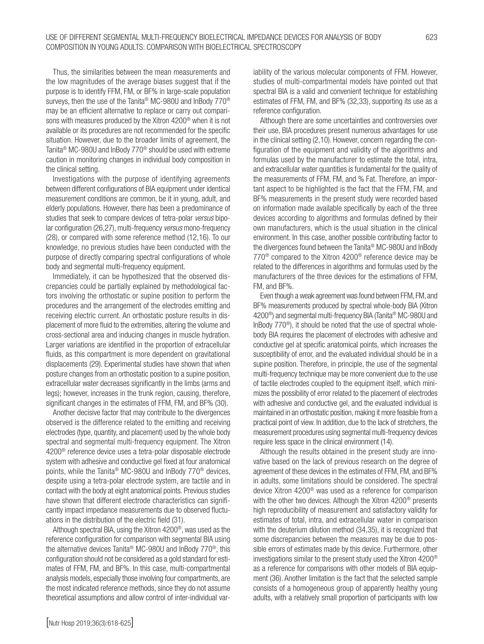Thus, the similarities between the mean measurements and the low magnitudes of the average biases suggest that if the purpose is to identify FFM, FM, or BF% in large-scale population surveys, then the use of the Tanita® MC-980U and InBody 770® may be an efficient alternative to replace or carry out comparisons with measures produced by the Xitron 4200® when it is not available or its procedures are not recommended for the specific situation. However, due to the broader limits of agreement, the Tanita® MC-980U and InBody 770® should be used with extreme caution in monitoring changes in individual body composition in the clinical setting.

Investigations with the purpose of identifying agreements between different configurations of BIA equipment under identical measurement conditions are common, be it in young, adult, and elderly populations. However, there has been a predominance of studies that seek to compare devices of tetra-polar *versus* bipolar configuration (26,27), multi-frequency *versus* mono-frequency (28), or compared with some reference method (12,16). To our knowledge, no previous studies have been conducted with the purpose of directly comparing spectral configurations of whole body and segmental multi-frequency equipment.

Immediately, it can be hypothesized that the observed discrepancies could be partially explained by methodological factors involving the orthostatic or supine position to perform the procedures and the arrangement of the electrodes emitting and receiving electric current. An orthostatic posture results in displacement of more fluid to the extremities, altering the volume and cross-sectional area and inducing changes in muscle hydration. Larger variations are identified in the proportion of extracellular fluids, as this compartment is more dependent on gravitational displacements (29). Experimental studies have shown that when posture changes from an orthostatic position to a supine position, extracellular water decreases significantly in the limbs (arms and legs); however, increases in the trunk region, causing, therefore, significant changes in the estimates of FFM, FM, and BF% (30).

Another decisive factor that may contribute to the divergences observed is the difference related to the emitting and receiving electrodes (type, quantity, and placement) used by the whole body spectral and segmental multi-frequency equipment. The Xitron 4200® reference device uses a tetra-polar disposable electrode system with adhesive and conductive gel fixed at four anatomical points, while the Tanita® MC-980U and InBody 770® devices, despite using a tetra-polar electrode system, are tactile and in contact with the body at eight anatomical points. Previous studies have shown that different electrode characteristics can significantly impact impedance measurements due to observed fluctuations in the distribution of the electric field (31).

Although spectral BIA, using the Xitron 4200®, was used as the reference configuration for comparison with segmental BIA using the alternative devices Tanita® MC-980U and InBody 770®, this configuration should not be considered as a gold standard for estimates of FFM, FM, and BF%. In this case, multi-compartmental analysis models, especially those involving four compartments, are the most indicated reference methods, since they do not assume theoretical assumptions and allow control of inter-individual variability of the various molecular components of FFM. However, studies of multi-compartmental models have pointed out that spectral BIA is a valid and convenient technique for establishing estimates of FFM, FM, and BF% (32,33), supporting its use as a reference configuration.

Although there are some uncertainties and controversies over their use, BIA procedures present numerous advantages for use in the clinical setting (2,10). However, concern regarding the configuration of the equipment and validity of the algorithms and formulas used by the manufacturer to estimate the total, intra, and extracellular water quantities is fundamental for the quality of the measurements of FFM, FM, and % Fat. Therefore, an important aspect to be highlighted is the fact that the FFM, FM, and BF% measurements in the present study were recorded based on information made available specifically by each of the three devices according to algorithms and formulas defined by their own manufacturers, which is the usual situation in the clinical environment. In this case, another possible contributing factor to the divergences found between the Tanita® MC-980U and InBody 770® compared to the Xitron 4200® reference device may be related to the differences in algorithms and formulas used by the manufacturers of the three devices for the estimations of FFM, FM, and BF%.

Even though a weak agreement was found between FFM, FM, and BF% measurements produced by spectral whole-body BIA (Xitron 4200®) and segmental multi-frequency BIA (Tanita® MC-980U and InBody 770®), it should be noted that the use of spectral wholebody BIA requires the placement of electrodes with adhesive and conductive gel at specific anatomical points, which increases the susceptibility of error, and the evaluated individual should be in a supine position. Therefore, in principle, the use of the segmental multi-frequency technique may be more convenient due to the use of tactile electrodes coupled to the equipment itself, which minimizes the possibility of error related to the placement of electrodes with adhesive and conductive gel, and the evaluated individual is maintained in an orthostatic position, making it more feasible from a practical point of view. In addition, due to the lack of stretchers, the measurement procedures using segmental multi-frequency devices require less space in the clinical environment (14).

Although the results obtained in the present study are innovative based on the lack of previous research on the degree of agreement of these devices in the estimates of FFM, FM, and BF% in adults, some limitations should be considered. The spectral device Xitron 4200® was used as a reference for comparison with the other two devices. Although the Xitron 4200® presents high reproducibility of measurement and satisfactory validity for estimates of total, intra, and extracellular water in comparison with the deuterium dilution method (34,35), it is recognized that some discrepancies between the measures may be due to possible errors of estimates made by this device. Furthermore, other investigations similar to the present study used the Xitron 4200® as a reference for comparisons with other models of BIA equipment (36). Another limitation is the fact that the selected sample consists of a homogeneous group of apparently healthy young adults, with a relatively small proportion of participants with low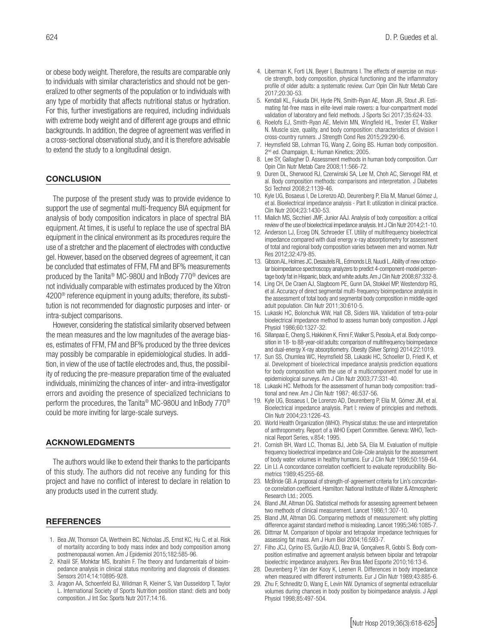or obese body weight. Therefore, the results are comparable only to individuals with similar characteristics and should not be generalized to other segments of the population or to individuals with any type of morbidity that affects nutritional status or hydration. For this, further investigations are required, including individuals with extreme body weight and of different age groups and ethnic backgrounds. In addition, the degree of agreement was verified in a cross-sectional observational study, and it is therefore advisable to extend the study to a longitudinal design.

### **CONCLUSION**

The purpose of the present study was to provide evidence to support the use of segmental multi-frequency BIA equipment for analysis of body composition indicators in place of spectral BIA equipment. At times, it is useful to replace the use of spectral BIA equipment in the clinical environment as its procedures require the use of a stretcher and the placement of electrodes with conductive gel. However, based on the observed degrees of agreement, it can be concluded that estimates of FFM, FM and BF% measurements produced by the Tanita® MC-980U and InBody 770® devices are not individually comparable with estimates produced by the Xitron 4200® reference equipment in young adults; therefore, its substitution is not recommended for diagnostic purposes and inter- or intra-subject comparisons.

However, considering the statistical similarity observed between the mean measures and the low magnitudes of the average biases, estimates of FFM, FM and BF% produced by the three devices may possibly be comparable in epidemiological studies. In addition, in view of the use of tactile electrodes and, thus, the possibility of reducing the pre-measure preparation time of the evaluated individuals, minimizing the chances of inter- and intra-investigator errors and avoiding the presence of specialized technicians to perform the procedures, the Tanita® MC-980U and InBody 770® could be more inviting for large-scale surveys.

### ACKNOWLEDGMENTS

The authors would like to extend their thanks to the participants of this study. The authors did not receive any funding for this project and have no conflict of interest to declare in relation to any products used in the current study.

#### **REFERENCES**

- 1. Bea JW, Thomson CA, Wertheim BC, Nicholas JS, Ernst KC, Hu C, et al. Risk of mortality according to body mass index and body composition among postmenopausal women. Am J Epidemiol 2015;182:585-96.
- 2. Khalil SF, Mohktar MS, Ibrahim F. The theory and fundamentals of bioimpedance analysis in clinical status monitoring and diagnosis of diseases. Sensors 2014;14:10895-928.
- 3. Aragon AA, Schoenfeld BJ, Wildman R, Kleiner S, Van Dusseldorp T, Taylor L. International Society of Sports Nutrition position stand: diets and body composition. J Int Soc Sports Nutr 2017;14:16.
- 4. Liberman K, Forti LN, Beyer I, Bautmans I. The effects of exercise on muscle strength, body composition, physical functioning and the inflammatory profile of older adults: a systematic review. Curr Opin Clin Nutr Metab Care 2017;20:30-53.
- 5. Kendall KL, Fukuda DH, Hyde PN, Smith-Ryan AE, Moon JR, Stout JR. Estimating fat-free mass in elite-level male rowers: a four-compartment model validation of laboratory and field methods. J Sports Sci 2017;35:624-33.
- 6. Roelofs EJ, Smith-Ryan AE, Melvin MN, Wingfield HL, Trexler ET, Walker N. Muscle size, quality, and body composition: characteristics of division I cross-country runners. J Strength Cond Res 2015;29:290-6.
- 7. Heymsfield SB, Lohman TG, Wang Z, Going BS. Human body composition. 2<sup>nd</sup> ed. Champaign, IL: Human Kinetics; 2005.
- 8. Lee SY, Gallagher D. Assessment methods in human body composition. Curr Opin Clin Nutr Metab Care 2008;11:566-72.
- 9. Duren DL, Sherwood RJ, Czerwinski SA, Lee M, Choh AC, Siervogel RM, et al. Body composition methods: comparisons and interpretation. J Diabetes Sci Technol 2008;2:1139-46.
- 10. Kyle UG, Bosaeus I, De Lorenzo AD, Deurenberg P, Elia M, Manuel Gómez J, et al. Bioelectrical impedance analysis - Part II: utilization in clinical practice. Clin Nutr 2004;23:1430-53.
- 11. Mialich MS, Sicchieri JMF, Junior AAJ. Analysis of body composition: a critical review of the use of bioelectrical impedance analysis. Int J Clin Nutr 2014;2:1-10.
- 12. Anderson LJ, Erceg DN, Schroeder ET. Utility of multifrequency bioelectrical impedance compared with dual energy x-ray absorptiometry for assessment of total and regional body composition varies between men and women. Nutr Res 2012;32:479-85.
- 13. Gibson AL, Holmes JC, Desautels RL, Edmonds LB, Nuudi L. Ability of new octopolar bioimpedance spectroscopy analyzers to predict 4-component-model percentage body fat in Hispanic, black, and white adults. Am J Clin Nutr 2008;87:332-8.
- 14. Ling CH, De Craen AJ, Slagboom PE, Gunn DA, Stokkel MP, Westendorp RG, et al. Accuracy of direct segmental multi-frequency bioimpedance analysis in the assessment of total body and segmental body composition in middle-aged adult population. Clin Nutr 2011;30:610-5.
- 15. Lukaski HC, Bolonchuk WW, Hall CB, Siders WA. Validation of tetra-polar bioelectrical impedance method to assess human body composition. J Appl Physiol 1986;60:1327-32.
- 16. Sillanpaa E, Cheng S, Hakkinen K, Finni F, Walker S, Pesola A, et al. Body composition in 18- to 88-year-old adults: comparison of multifrequency bioimpedance and dual-energy X-ray absorptiometry. Obesity (Silver Spring) 2014;22:1019.
- 17. Sun SS, Chumlea WC, Heymsfield SB, Lukaski HC, Schoeller D, Friedl K, et al. Development of bioelectrical impedance analysis prediction equations for body composition with the use of a multicomponent model for use in epidemiological surveys. Am J Clin Nutr 2003;77:331-40.
- 18. Lukaski HC. Methods for the assessment of human body composition: traditional and new. Am J Clin Nutr 1987; 46:537-56.
- 19. Kyle UG, Bosaeus I, De Lorenzo AD, Deurenberg P, Elia M, Gómez JM, et al. Bioelectrical impedance analysis. Part I: review of principles and methods. Clin Nutr 2004;23:1226-43.
- 20. World Health Organization (WHO). Physical status: the use and interpretation of anthropometry. Report of a WHO Expert Committee. Geneva: WHO, Technical Report Series, v.854; 1995.
- 21. Cornish BH, Ward LC, Thomas BJ, Jebb SA, Elia M. Evaluation of multiple frequency bioelectrical impedance and Cole-Cole analysis for the assessment of body water volumes in healthy humans. Eur J Clin Nutr 1996;50:159-64.
- 22. Lin LI. A concordance correlation coefficient to evaluate reproducibility. Biometrics 1989;45:255-68.
- 23. McBride GB. A proposal of strength-of-agreement criteria for Lin's concordance correlation coefficient. Hamilton: National Institute of Water & Atmospheric Research Ltd.; 2005.
- 24. Bland JM, Altman DG. Statistical methods for assessing agreement between two methods of clinical measurement. Lancet 1986;1:307-10.
- 25. Bland JM, Altman DG. Comparing methods of measurement: why plotting difference against standard method is misleading. Lancet 1995;346:1085-7.
- 26. Dittmar M. Comparison of bipolar and tetrapolar impedance techniques for assessing fat mass. Am J Hum Biol 2004;16:593-7.
- 27. Filho JCJ, Cyrino ES, Gurjão ALD, Braz IA, Gonçalves R, Gobbi S. Body composition estimative and agreement analysis between bipolar and tetrapolar bioelectric impedance analyzers. Rev Bras Med Esporte 2010;16:13-6.
- 28. Deurenberg P, Van der Kooy K, Leenen R. Differences in body impedance when measured with different instruments. Eur J Clin Nutr 1989;43:885-6.
- Zhu F, Schneditz D, Wang E, Levin NW. Dynamics of segmental extracellular volumes during chances in body position by bioimpedance analysis. J Appl Physiol 1998;85:497-504.